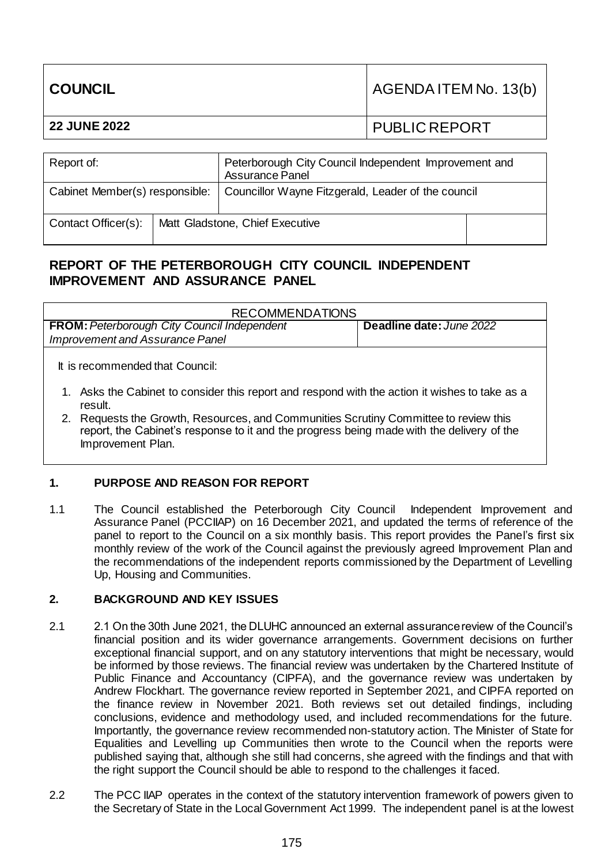| COUNCIL             | AGENDA ITEM No. 13(b) |
|---------------------|-----------------------|
| <b>22 JUNE 2022</b> | I PUBLIC REPORT       |
|                     |                       |

| Report of:                     |  | Peterborough City Council Independent Improvement and<br><b>Assurance Panel</b> |  |
|--------------------------------|--|---------------------------------------------------------------------------------|--|
| Cabinet Member(s) responsible: |  | Councillor Wayne Fitzgerald, Leader of the council                              |  |
| Contact Officer(s):            |  | Matt Gladstone, Chief Executive                                                 |  |

# **REPORT OF THE PETERBOROUGH CITY COUNCIL INDEPENDENT IMPROVEMENT AND ASSURANCE PANEL**

| <b>RECOMMENDATIONS</b>                                                                                    |                          |  |  |
|-----------------------------------------------------------------------------------------------------------|--------------------------|--|--|
| <b>FROM:</b> Peterborough City Council Independent                                                        | Deadline date: June 2022 |  |  |
| Improvement and Assurance Panel                                                                           |                          |  |  |
| It is recommended that Council:                                                                           |                          |  |  |
| 1. Asks the Cabinet to consider this report and respond with the action it wishes to take as a<br>result. |                          |  |  |
| 2. Requests the Growth, Resources, and Communities Scrutiny Committee to review this                      |                          |  |  |

report, the Cabinet's response to it and the progress being made with the delivery of the Improvement Plan.

## **1. PURPOSE AND REASON FOR REPORT**

1.1 The Council established the Peterborough City Council Independent Improvement and Assurance Panel (PCCIIAP) on 16 December 2021, and updated the terms of reference of the panel to report to the Council on a six monthly basis. This report provides the Panel's first six monthly review of the work of the Council against the previously agreed Improvement Plan and the recommendations of the independent reports commissioned by the Department of Levelling Up, Housing and Communities.

## **2. BACKGROUND AND KEY ISSUES**

- 2.1 2.1 On the 30th June 2021, the DLUHC announced an external assurance review of the Council's financial position and its wider governance arrangements. Government decisions on further exceptional financial support, and on any statutory interventions that might be necessary, would be informed by those reviews. The financial review was undertaken by the Chartered Institute of Public Finance and Accountancy (CIPFA), and the governance review was undertaken by Andrew Flockhart. The governance review reported in September 2021, and CIPFA reported on the finance review in November 2021. Both reviews set out detailed findings, including conclusions, evidence and methodology used, and included recommendations for the future. Importantly, the governance review recommended non-statutory action. The Minister of State for Equalities and Levelling up Communities then wrote to the Council when the reports were published saying that, although she still had concerns, she agreed with the findings and that with the right support the Council should be able to respond to the challenges it faced.
- 2.2 The PCC IIAP operates in the context of the statutory intervention framework of powers given to the Secretary of State in the Local Government Act 1999. The independent panel is at the lowest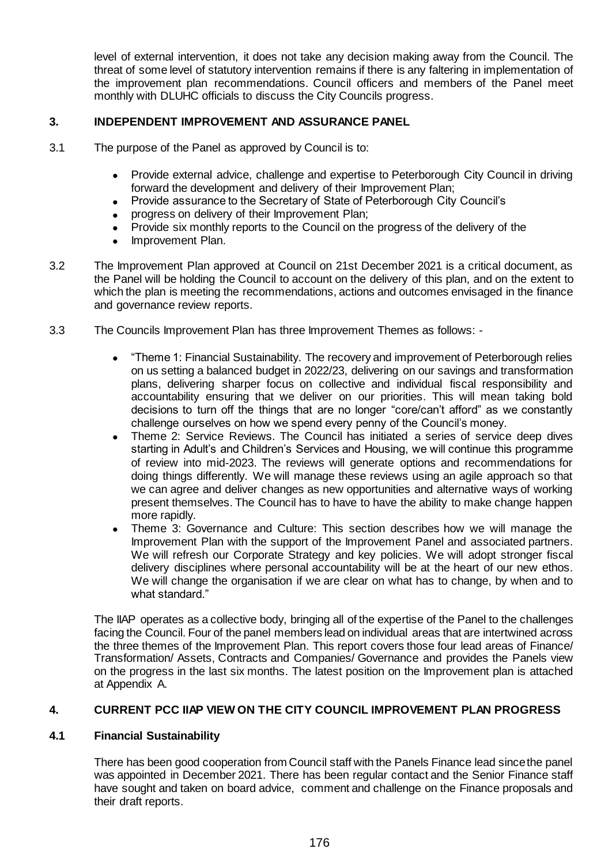level of external intervention, it does not take any decision making away from the Council. The threat of some level of statutory intervention remains if there is any faltering in implementation of the improvement plan recommendations. Council officers and members of the Panel meet monthly with DLUHC officials to discuss the City Councils progress.

## **3. INDEPENDENT IMPROVEMENT AND ASSURANCE PANEL**

- 3.1 The purpose of the Panel as approved by Council is to:
	- Provide external advice, challenge and expertise to Peterborough City Council in driving forward the development and delivery of their Improvement Plan;
	- Provide assurance to the Secretary of State of Peterborough City Council's
	- progress on delivery of their Improvement Plan;
	- Provide six monthly reports to the Council on the progress of the delivery of the
	- Improvement Plan.
- 3.2 The Improvement Plan approved at Council on 21st December 2021 is a critical document, as the Panel will be holding the Council to account on the delivery of this plan, and on the extent to which the plan is meeting the recommendations, actions and outcomes envisaged in the finance and governance review reports.
- 3.3 The Councils Improvement Plan has three Improvement Themes as follows:
	- "Theme 1: Financial Sustainability. The recovery and improvement of Peterborough relies on us setting a balanced budget in 2022/23, delivering on our savings and transformation plans, delivering sharper focus on collective and individual fiscal responsibility and accountability ensuring that we deliver on our priorities. This will mean taking bold decisions to turn off the things that are no longer "core/can't afford" as we constantly challenge ourselves on how we spend every penny of the Council's money.
	- Theme 2: Service Reviews. The Council has initiated a series of service deep dives starting in Adult's and Children's Services and Housing, we will continue this programme of review into mid-2023. The reviews will generate options and recommendations for doing things differently. We will manage these reviews using an agile approach so that we can agree and deliver changes as new opportunities and alternative ways of working present themselves. The Council has to have to have the ability to make change happen more rapidly.
	- Theme 3: Governance and Culture: This section describes how we will manage the Improvement Plan with the support of the Improvement Panel and associated partners. We will refresh our Corporate Strategy and key policies. We will adopt stronger fiscal delivery disciplines where personal accountability will be at the heart of our new ethos. We will change the organisation if we are clear on what has to change, by when and to what standard."

The IIAP operates as a collective body, bringing all of the expertise of the Panel to the challenges facing the Council. Four of the panel members lead on individual areas that are intertwined across the three themes of the Improvement Plan. This report covers those four lead areas of Finance/ Transformation/ Assets, Contracts and Companies/ Governance and provides the Panels view on the progress in the last six months. The latest position on the Improvement plan is attached at Appendix A.

## **4. CURRENT PCC IIAP VIEW ON THE CITY COUNCIL IMPROVEMENT PLAN PROGRESS**

### **4.1 Financial Sustainability**

There has been good cooperation from Council staff with the Panels Finance lead since the panel was appointed in December 2021. There has been regular contact and the Senior Finance staff have sought and taken on board advice, comment and challenge on the Finance proposals and their draft reports.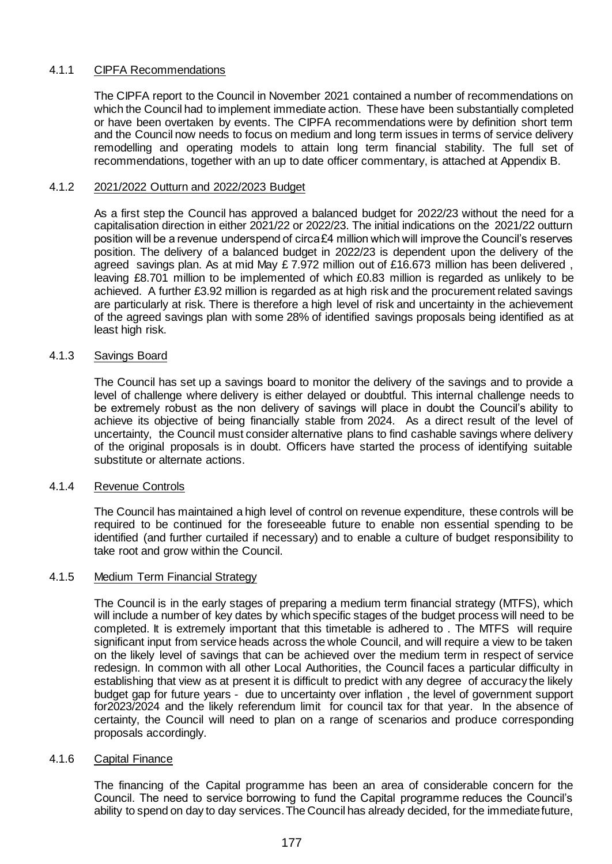### 4.1.1 CIPFA Recommendations

The CIPFA report to the Council in November 2021 contained a number of recommendations on which the Council had to implement immediate action. These have been substantially completed or have been overtaken by events. The CIPFA recommendations were by definition short term and the Council now needs to focus on medium and long term issues in terms of service delivery remodelling and operating models to attain long term financial stability. The full set of recommendations, together with an up to date officer commentary, is attached at Appendix B.

### 4.1.2 2021/2022 Outturn and 2022/2023 Budget

As a first step the Council has approved a balanced budget for 2022/23 without the need for a capitalisation direction in either 2021/22 or 2022/23. The initial indications on the 2021/22 outturn position will be a revenue underspend of circa £4 million which will improve the Council's reserves position. The delivery of a balanced budget in 2022/23 is dependent upon the delivery of the agreed savings plan. As at mid May £ 7.972 million out of £16.673 million has been delivered , leaving £8.701 million to be implemented of which £0.83 million is regarded as unlikely to be achieved. A further £3.92 million is regarded as at high risk and the procurement related savings are particularly at risk. There is therefore a high level of risk and uncertainty in the achievement of the agreed savings plan with some 28% of identified savings proposals being identified as at least high risk.

#### 4.1.3 Savings Board

The Council has set up a savings board to monitor the delivery of the savings and to provide a level of challenge where delivery is either delayed or doubtful. This internal challenge needs to be extremely robust as the non delivery of savings will place in doubt the Council's ability to achieve its objective of being financially stable from 2024. As a direct result of the level of uncertainty, the Council must consider alternative plans to find cashable savings where delivery of the original proposals is in doubt. Officers have started the process of identifying suitable substitute or alternate actions.

#### 4.1.4 Revenue Controls

The Council has maintained a high level of control on revenue expenditure, these controls will be required to be continued for the foreseeable future to enable non essential spending to be identified (and further curtailed if necessary) and to enable a culture of budget responsibility to take root and grow within the Council.

#### 4.1.5 Medium Term Financial Strategy

The Council is in the early stages of preparing a medium term financial strategy (MTFS), which will include a number of key dates by which specific stages of the budget process will need to be completed. It is extremely important that this timetable is adhered to . The MTFS will require significant input from service heads across the whole Council, and will require a view to be taken on the likely level of savings that can be achieved over the medium term in respect of service redesign. In common with all other Local Authorities, the Council faces a particular difficulty in establishing that view as at present it is difficult to predict with any degree of accuracy the likely budget gap for future years - due to uncertainty over inflation , the level of government support for2023/2024 and the likely referendum limit for council tax for that year. In the absence of certainty, the Council will need to plan on a range of scenarios and produce corresponding proposals accordingly.

### 4.1.6 Capital Finance

The financing of the Capital programme has been an area of considerable concern for the Council. The need to service borrowing to fund the Capital programme reduces the Council's ability to spend on day to day services. The Council has already decided, for the immediate future,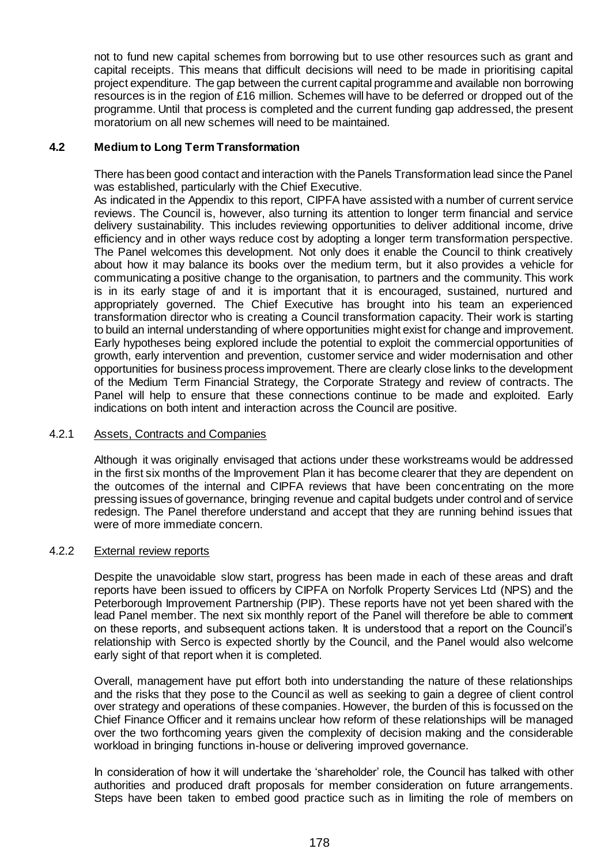not to fund new capital schemes from borrowing but to use other resources such as grant and capital receipts. This means that difficult decisions will need to be made in prioritising capital project expenditure. The gap between the current capital programme and available non borrowing resources is in the region of £16 million. Schemes will have to be deferred or dropped out of the programme. Until that process is completed and the current funding gap addressed, the present moratorium on all new schemes will need to be maintained.

### **4.2 Medium to Long Term Transformation**

There has been good contact and interaction with the Panels Transformation lead since the Panel was established, particularly with the Chief Executive.

As indicated in the Appendix to this report, CIPFA have assisted with a number of current service reviews. The Council is, however, also turning its attention to longer term financial and service delivery sustainability. This includes reviewing opportunities to deliver additional income, drive efficiency and in other ways reduce cost by adopting a longer term transformation perspective. The Panel welcomes this development. Not only does it enable the Council to think creatively about how it may balance its books over the medium term, but it also provides a vehicle for communicating a positive change to the organisation, to partners and the community. This work is in its early stage of and it is important that it is encouraged, sustained, nurtured and appropriately governed. The Chief Executive has brought into his team an experienced transformation director who is creating a Council transformation capacity. Their work is starting to build an internal understanding of where opportunities might exist for change and improvement. Early hypotheses being explored include the potential to exploit the commercial opportunities of growth, early intervention and prevention, customer service and wider modernisation and other opportunities for business process improvement. There are clearly close links to the development of the Medium Term Financial Strategy, the Corporate Strategy and review of contracts. The Panel will help to ensure that these connections continue to be made and exploited. Early indications on both intent and interaction across the Council are positive.

#### 4.2.1 Assets, Contracts and Companies

Although it was originally envisaged that actions under these workstreams would be addressed in the first six months of the Improvement Plan it has become clearer that they are dependent on the outcomes of the internal and CIPFA reviews that have been concentrating on the more pressing issues of governance, bringing revenue and capital budgets under control and of service redesign. The Panel therefore understand and accept that they are running behind issues that were of more immediate concern.

#### 4.2.2 External review reports

Despite the unavoidable slow start, progress has been made in each of these areas and draft reports have been issued to officers by CIPFA on Norfolk Property Services Ltd (NPS) and the Peterborough Improvement Partnership (PIP). These reports have not yet been shared with the lead Panel member. The next six monthly report of the Panel will therefore be able to comment on these reports, and subsequent actions taken. It is understood that a report on the Council's relationship with Serco is expected shortly by the Council, and the Panel would also welcome early sight of that report when it is completed.

Overall, management have put effort both into understanding the nature of these relationships and the risks that they pose to the Council as well as seeking to gain a degree of client control over strategy and operations of these companies. However, the burden of this is focussed on the Chief Finance Officer and it remains unclear how reform of these relationships will be managed over the two forthcoming years given the complexity of decision making and the considerable workload in bringing functions in-house or delivering improved governance.

In consideration of how it will undertake the 'shareholder' role, the Council has talked with other authorities and produced draft proposals for member consideration on future arrangements. Steps have been taken to embed good practice such as in limiting the role of members on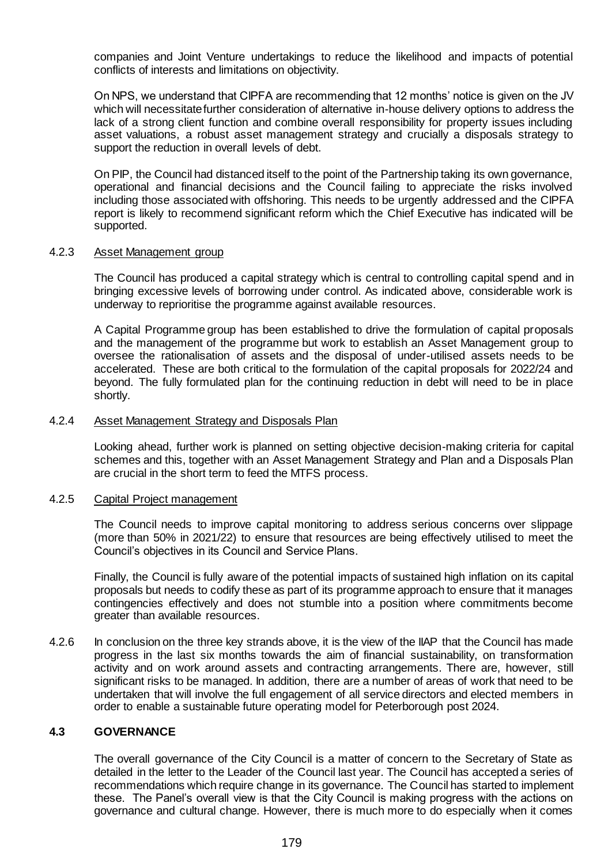companies and Joint Venture undertakings to reduce the likelihood and impacts of potential conflicts of interests and limitations on objectivity.

On NPS, we understand that CIPFA are recommending that 12 months' notice is given on the JV which will necessitate further consideration of alternative in-house delivery options to address the lack of a strong client function and combine overall responsibility for property issues including asset valuations, a robust asset management strategy and crucially a disposals strategy to support the reduction in overall levels of debt.

On PIP, the Council had distanced itself to the point of the Partnership taking its own governance, operational and financial decisions and the Council failing to appreciate the risks involved including those associated with offshoring. This needs to be urgently addressed and the CIPFA report is likely to recommend significant reform which the Chief Executive has indicated will be supported.

#### 4.2.3 Asset Management group

The Council has produced a capital strategy which is central to controlling capital spend and in bringing excessive levels of borrowing under control. As indicated above, considerable work is underway to reprioritise the programme against available resources.

A Capital Programme group has been established to drive the formulation of capital proposals and the management of the programme but work to establish an Asset Management group to oversee the rationalisation of assets and the disposal of under-utilised assets needs to be accelerated. These are both critical to the formulation of the capital proposals for 2022/24 and beyond. The fully formulated plan for the continuing reduction in debt will need to be in place shortly.

#### 4.2.4 Asset Management Strategy and Disposals Plan

Looking ahead, further work is planned on setting objective decision-making criteria for capital schemes and this, together with an Asset Management Strategy and Plan and a Disposals Plan are crucial in the short term to feed the MTFS process.

#### 4.2.5 Capital Project management

The Council needs to improve capital monitoring to address serious concerns over slippage (more than 50% in 2021/22) to ensure that resources are being effectively utilised to meet the Council's objectives in its Council and Service Plans.

Finally, the Council is fully aware of the potential impacts of sustained high inflation on its capital proposals but needs to codify these as part of its programme approach to ensure that it manages contingencies effectively and does not stumble into a position where commitments become greater than available resources.

4.2.6 In conclusion on the three key strands above, it is the view of the IIAP that the Council has made progress in the last six months towards the aim of financial sustainability, on transformation activity and on work around assets and contracting arrangements. There are, however, still significant risks to be managed. In addition, there are a number of areas of work that need to be undertaken that will involve the full engagement of all service directors and elected members in order to enable a sustainable future operating model for Peterborough post 2024.

#### **4.3 GOVERNANCE**

The overall governance of the City Council is a matter of concern to the Secretary of State as detailed in the letter to the Leader of the Council last year. The Council has accepted a series of recommendations which require change in its governance. The Council has started to implement these. The Panel's overall view is that the City Council is making progress with the actions on governance and cultural change. However, there is much more to do especially when it comes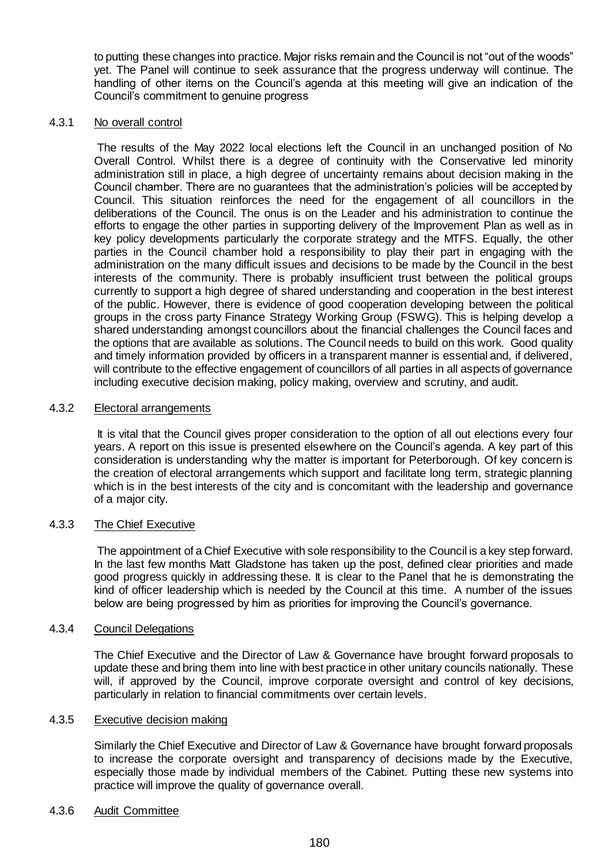to putting these changes into practice. Major risks remain and the Council is not "out of the woods" yet. The Panel will continue to seek assurance that the progress underway will continue. The handling of other items on the Council's agenda at this meeting will give an indication of the Council's commitment to genuine progress

#### 4.3.1 No overall control

The results of the May 2022 local elections left the Council in an unchanged position of No Overall Control. Whilst there is a degree of continuity with the Conservative led minority administration still in place, a high degree of uncertainty remains about decision making in the Council chamber. There are no guarantees that the administration's policies will be accepted by Council. This situation reinforces the need for the engagement of all councillors in the deliberations of the Council. The onus is on the Leader and his administration to continue the efforts to engage the other parties in supporting delivery of the Improvement Plan as well as in key policy developments particularly the corporate strategy and the MTFS. Equally, the other parties in the Council chamber hold a responsibility to play their part in engaging with the administration on the many difficult issues and decisions to be made by the Council in the best interests of the community. There is probably insufficient trust between the political groups currently to support a high degree of shared understanding and cooperation in the best interest of the public. However, there is evidence of good cooperation developing between the political groups in the cross party Finance Strategy Working Group (FSWG). This is helping develop a shared understanding amongst councillors about the financial challenges the Council faces and the options that are available as solutions. The Council needs to build on this work. Good quality and timely information provided by officers in a transparent manner is essential and, if delivered, will contribute to the effective engagement of councillors of all parties in all aspects of governance including executive decision making, policy making, overview and scrutiny, and audit.

### 4.3.2 Electoral arrangements

It is vital that the Council gives proper consideration to the option of all out elections every four years. A report on this issue is presented elsewhere on the Council's agenda. A key part of this consideration is understanding why the matter is important for Peterborough. Of key concern is the creation of electoral arrangements which support and facilitate long term, strategic planning which is in the best interests of the city and is concomitant with the leadership and governance of a major city.

### 4.3.3 The Chief Executive

The appointment of a Chief Executive with sole responsibility to the Council is a key step forward. In the last few months Matt Gladstone has taken up the post, defined clear priorities and made good progress quickly in addressing these. It is clear to the Panel that he is demonstrating the kind of officer leadership which is needed by the Council at this time. A number of the issues below are being progressed by him as priorities for improving the Council's governance.

### 4.3.4 Council Delegations

The Chief Executive and the Director of Law & Governance have brought forward proposals to update these and bring them into line with best practice in other unitary councils nationally. These will, if approved by the Council, improve corporate oversight and control of key decisions, particularly in relation to financial commitments over certain levels.

#### 4.3.5 Executive decision making

Similarly the Chief Executive and Director of Law & Governance have brought forward proposals to increase the corporate oversight and transparency of decisions made by the Executive, especially those made by individual members of the Cabinet. Putting these new systems into practice will improve the quality of governance overall.

#### 4.3.6 Audit Committee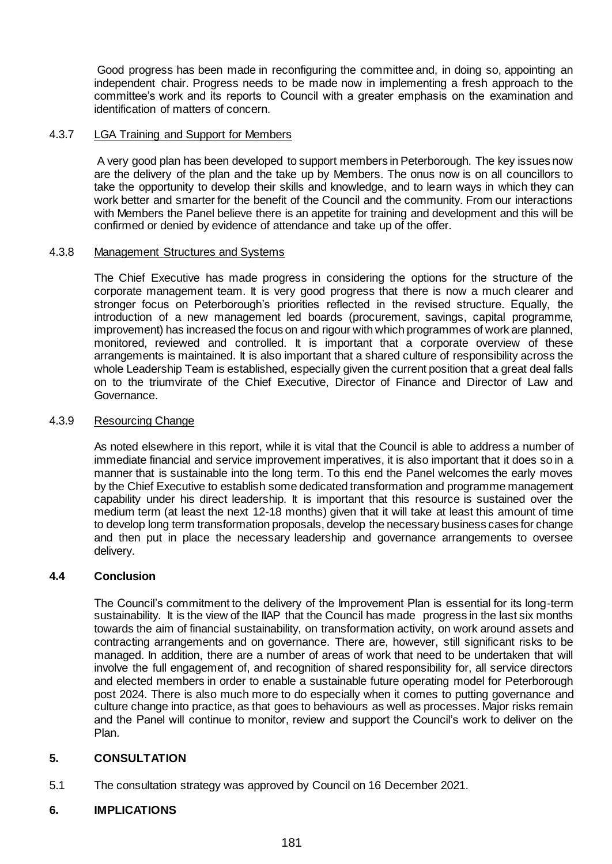Good progress has been made in reconfiguring the committee and, in doing so, appointing an independent chair. Progress needs to be made now in implementing a fresh approach to the committee's work and its reports to Council with a greater emphasis on the examination and identification of matters of concern.

#### 4.3.7 LGA Training and Support for Members

A very good plan has been developed to support members in Peterborough. The key issues now are the delivery of the plan and the take up by Members. The onus now is on all councillors to take the opportunity to develop their skills and knowledge, and to learn ways in which they can work better and smarter for the benefit of the Council and the community. From our interactions with Members the Panel believe there is an appetite for training and development and this will be confirmed or denied by evidence of attendance and take up of the offer.

#### 4.3.8 Management Structures and Systems

The Chief Executive has made progress in considering the options for the structure of the corporate management team. It is very good progress that there is now a much clearer and stronger focus on Peterborough's priorities reflected in the revised structure. Equally, the introduction of a new management led boards (procurement, savings, capital programme, improvement) has increased the focus on and rigour with which programmes of work are planned, monitored, reviewed and controlled. It is important that a corporate overview of these arrangements is maintained. It is also important that a shared culture of responsibility across the whole Leadership Team is established, especially given the current position that a great deal falls on to the triumvirate of the Chief Executive, Director of Finance and Director of Law and Governance.

#### 4.3.9 Resourcing Change

As noted elsewhere in this report, while it is vital that the Council is able to address a number of immediate financial and service improvement imperatives, it is also important that it does so in a manner that is sustainable into the long term. To this end the Panel welcomes the early moves by the Chief Executive to establish some dedicated transformation and programme management capability under his direct leadership. It is important that this resource is sustained over the medium term (at least the next 12-18 months) given that it will take at least this amount of time to develop long term transformation proposals, develop the necessary business cases for change and then put in place the necessary leadership and governance arrangements to oversee delivery.

### **4.4 Conclusion**

The Council's commitment to the delivery of the Improvement Plan is essential for its long-term sustainability. It is the view of the IIAP that the Council has made progress in the last six months towards the aim of financial sustainability, on transformation activity, on work around assets and contracting arrangements and on governance. There are, however, still significant risks to be managed. In addition, there are a number of areas of work that need to be undertaken that will involve the full engagement of, and recognition of shared responsibility for, all service directors and elected members in order to enable a sustainable future operating model for Peterborough post 2024. There is also much more to do especially when it comes to putting governance and culture change into practice, as that goes to behaviours as well as processes. Major risks remain and the Panel will continue to monitor, review and support the Council's work to deliver on the Plan.

### **5. CONSULTATION**

5.1 The consultation strategy was approved by Council on 16 December 2021.

### **6. IMPLICATIONS**